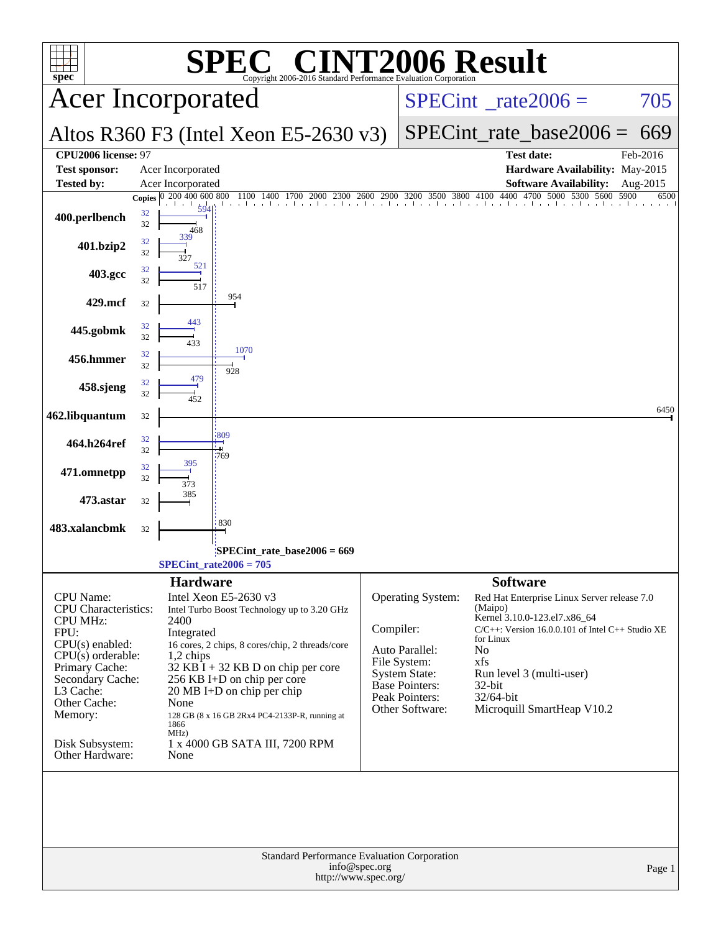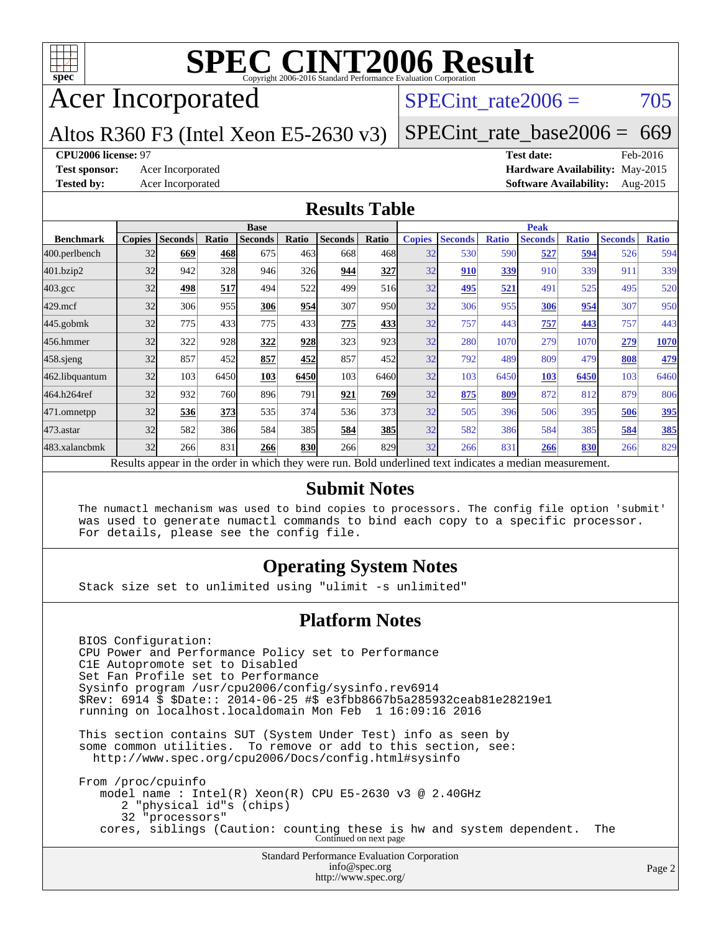

## Acer Incorporated

## SPECint rate $2006 = 705$

## Altos R360 F3 (Intel Xeon E5-2630 v3)

[SPECint\\_rate\\_base2006 =](http://www.spec.org/auto/cpu2006/Docs/result-fields.html#SPECintratebase2006) 669

#### **[CPU2006 license:](http://www.spec.org/auto/cpu2006/Docs/result-fields.html#CPU2006license)** 97 **[Test date:](http://www.spec.org/auto/cpu2006/Docs/result-fields.html#Testdate)** Feb-2016

**[Test sponsor:](http://www.spec.org/auto/cpu2006/Docs/result-fields.html#Testsponsor)** Acer Incorporated **[Hardware Availability:](http://www.spec.org/auto/cpu2006/Docs/result-fields.html#HardwareAvailability)** May-2015 **[Tested by:](http://www.spec.org/auto/cpu2006/Docs/result-fields.html#Testedby)** Acer Incorporated **[Software Availability:](http://www.spec.org/auto/cpu2006/Docs/result-fields.html#SoftwareAvailability)** Aug-2015

## **[Results Table](http://www.spec.org/auto/cpu2006/Docs/result-fields.html#ResultsTable)**

|                    |               |                |       | <b>Base</b>                                                                                              |       |                |            |               |                |              | <b>Peak</b>    |              |                |              |
|--------------------|---------------|----------------|-------|----------------------------------------------------------------------------------------------------------|-------|----------------|------------|---------------|----------------|--------------|----------------|--------------|----------------|--------------|
| <b>Benchmark</b>   | <b>Copies</b> | <b>Seconds</b> | Ratio | <b>Seconds</b>                                                                                           | Ratio | <b>Seconds</b> | Ratio      | <b>Copies</b> | <b>Seconds</b> | <b>Ratio</b> | <b>Seconds</b> | <b>Ratio</b> | <b>Seconds</b> | <b>Ratio</b> |
| 400.perlbench      | 32            | 669            | 468   | 675                                                                                                      | 463   | 668            | 468I       | 32            | 530            | 590          | 527            | 594          | 526            | 594          |
| 401.bzip2          | 32            | 942            | 328   | 946                                                                                                      | 326   | 944            | 327        | 32            | 910            | 339          | 910            | 339          | 911            | 339          |
| $403.\mathrm{gcc}$ | 32            | 498            | 517   | 494                                                                                                      | 522   | 499            | 516        | 32            | 495            | 521          | 491            | 525          | 495            | 520          |
| $429$ .mcf         | 32            | 306            | 955   | 306                                                                                                      | 954   | 307            | 950        | 32            | 306            | 955          | 306            | 954          | 307            | 950          |
| $445$ .gobmk       | 32            | 775            | 433   | 775                                                                                                      | 433   | 775            | 433        | 32            | 757            | 443          | 757            | 443          | 757            | 443          |
| 456.hmmer          | 32            | 322            | 928   | 322                                                                                                      | 928   | 323            | 923        | 32            | 280            | 1070         | 279            | 1070         | 279            | 1070         |
| 458 sjeng          | 32            | 857            | 452   | 857                                                                                                      | 452   | 857            | 452l       | 32            | 792            | 489          | 809            | 479          | 808            | 479          |
| 462.libquantum     | 32            | 103            | 6450  | 103                                                                                                      | 6450  | 103            | 6460       | 32            | 103            | 6450         | 103            | 6450         | 103            | 6460         |
| 464.h264ref        | 32            | 932            | 760   | 896                                                                                                      | 791   | 921            | 769        | 32            | 875            | 809          | 872            | 812          | 879            | 806          |
| 471.omnetpp        | 32            | 536            | 373   | 535                                                                                                      | 374   | 536            | 373I       | 32            | 505            | 396          | 506            | 395          | 506            | 395          |
| $473$ . astar      | 32            | 582            | 386   | 584                                                                                                      | 385   | 584            | <b>385</b> | 32            | 582            | 386          | 584            | 385          | 584            | 385          |
| 483.xalancbmk      | 32            | 266            | 831   | 266                                                                                                      | 830   | 266            | 829        | 32            | 266            | 831          | 266            | 830          | 266            | 829          |
|                    |               |                |       | Results appear in the order in which they were run. Bold underlined text indicates a median measurement. |       |                |            |               |                |              |                |              |                |              |

#### **[Submit Notes](http://www.spec.org/auto/cpu2006/Docs/result-fields.html#SubmitNotes)**

 The numactl mechanism was used to bind copies to processors. The config file option 'submit' was used to generate numactl commands to bind each copy to a specific processor. For details, please see the config file.

## **[Operating System Notes](http://www.spec.org/auto/cpu2006/Docs/result-fields.html#OperatingSystemNotes)**

Stack size set to unlimited using "ulimit -s unlimited"

### **[Platform Notes](http://www.spec.org/auto/cpu2006/Docs/result-fields.html#PlatformNotes)**

Standard Performance Evaluation Corporation [info@spec.org](mailto:info@spec.org) BIOS Configuration: CPU Power and Performance Policy set to Performance C1E Autopromote set to Disabled Set Fan Profile set to Performance Sysinfo program /usr/cpu2006/config/sysinfo.rev6914 \$Rev: 6914 \$ \$Date:: 2014-06-25 #\$ e3fbb8667b5a285932ceab81e28219e1 running on localhost.localdomain Mon Feb 1 16:09:16 2016 This section contains SUT (System Under Test) info as seen by some common utilities. To remove or add to this section, see: <http://www.spec.org/cpu2006/Docs/config.html#sysinfo> From /proc/cpuinfo model name : Intel(R) Xeon(R) CPU E5-2630 v3 @ 2.40GHz 2 "physical id"s (chips) 32 "processors" cores, siblings (Caution: counting these is hw and system dependent. The Continued on next page

<http://www.spec.org/>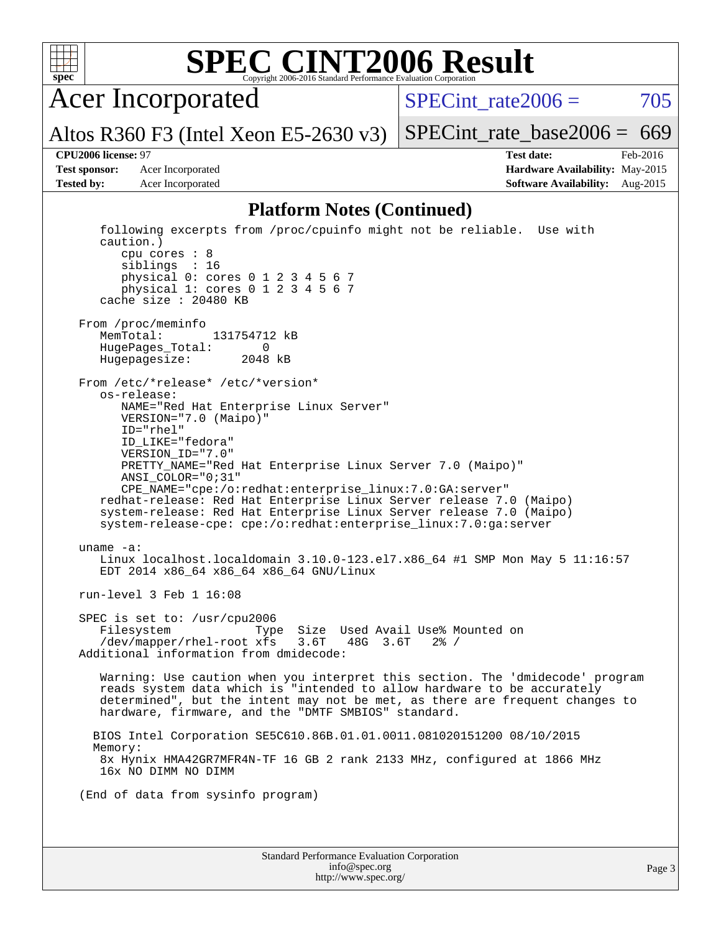

Acer Incorporated

Altos R360 F3 (Intel Xeon E5-2630 v3)

SPECint rate $2006 = 705$ 

[SPECint\\_rate\\_base2006 =](http://www.spec.org/auto/cpu2006/Docs/result-fields.html#SPECintratebase2006)  $669$ 

**[CPU2006 license:](http://www.spec.org/auto/cpu2006/Docs/result-fields.html#CPU2006license)** 97 **[Test date:](http://www.spec.org/auto/cpu2006/Docs/result-fields.html#Testdate)** Feb-2016 **[Test sponsor:](http://www.spec.org/auto/cpu2006/Docs/result-fields.html#Testsponsor)** Acer Incorporated **[Hardware Availability:](http://www.spec.org/auto/cpu2006/Docs/result-fields.html#HardwareAvailability)** May-2015 **[Tested by:](http://www.spec.org/auto/cpu2006/Docs/result-fields.html#Testedby)** Acer Incorporated **[Software Availability:](http://www.spec.org/auto/cpu2006/Docs/result-fields.html#SoftwareAvailability)** Aug-2015

#### **[Platform Notes \(Continued\)](http://www.spec.org/auto/cpu2006/Docs/result-fields.html#PlatformNotes)**

```
Standard Performance Evaluation Corporation
                                   info@spec.org
                                                                                  Page 3
   following excerpts from /proc/cpuinfo might not be reliable. Use with
   caution.)
      cpu cores : 8
      siblings : 16
      physical 0: cores 0 1 2 3 4 5 6 7
      physical 1: cores 0 1 2 3 4 5 6 7
   cache size : 20480 KB
From /proc/meminfo
  MemTotal: 131754712 kB
   HugePages_Total: 0
  Hugepagesize: 2048 kB
From /etc/*release* /etc/*version*
   os-release:
      NAME="Red Hat Enterprise Linux Server"
      VERSION="7.0 (Maipo)"
      ID="rhel"
      ID_LIKE="fedora"
      VERSION_ID="7.0"
      PRETTY_NAME="Red Hat Enterprise Linux Server 7.0 (Maipo)"
      ANSI_COLOR="0;31"
      CPE_NAME="cpe:/o:redhat:enterprise_linux:7.0:GA:server"
  redhat-release: Red Hat Enterprise Linux Server release 7.0 (Maipo)
   system-release: Red Hat Enterprise Linux Server release 7.0 (Maipo)
   system-release-cpe: cpe:/o:redhat:enterprise_linux:7.0:ga:server
uname -a:
  Linux localhost.localdomain 3.10.0-123.el7.x86_64 #1 SMP Mon May 5 11:16:57
   EDT 2014 x86_64 x86_64 x86_64 GNU/Linux
run-level 3 Feb 1 16:08
SPEC is set to: /usr/cpu2006
  Filesystem Type Size Used Avail Use% Mounted on
   /dev/mapper/rhel-root xfs 3.6T 48G 3.6T 2% /
Additional information from dmidecode:
   Warning: Use caution when you interpret this section. The 'dmidecode' program
   reads system data which is "intended to allow hardware to be accurately
   determined", but the intent may not be met, as there are frequent changes to
  hardware, firmware, and the "DMTF SMBIOS" standard.
  BIOS Intel Corporation SE5C610.86B.01.01.0011.081020151200 08/10/2015
  Memory:
   8x Hynix HMA42GR7MFR4N-TF 16 GB 2 rank 2133 MHz, configured at 1866 MHz
   16x NO DIMM NO DIMM
(End of data from sysinfo program)
```
<http://www.spec.org/>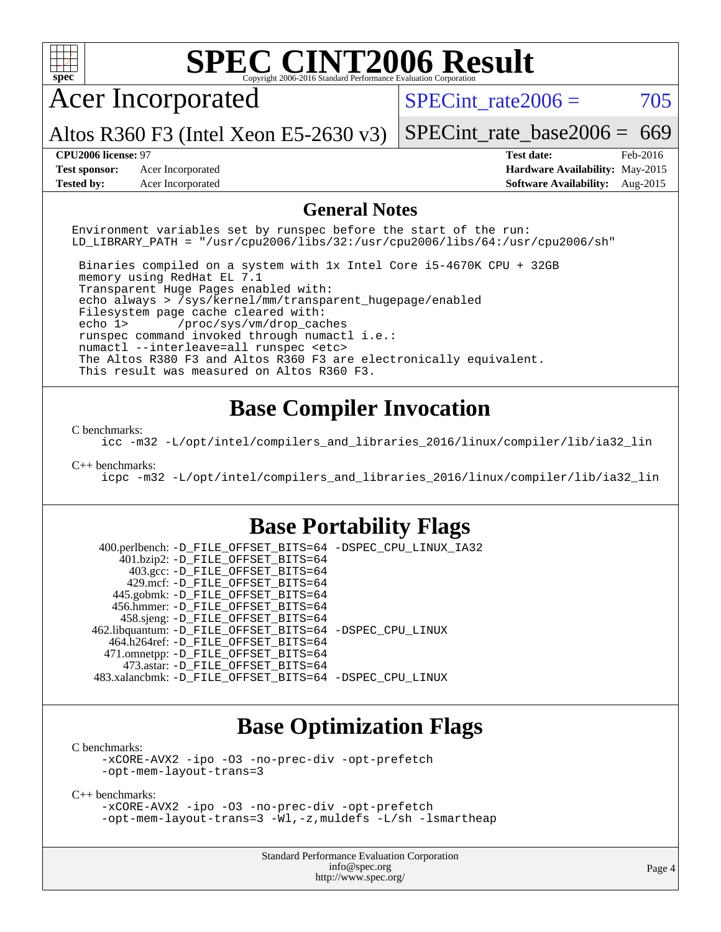

[C benchmarks](http://www.spec.org/auto/cpu2006/Docs/result-fields.html#Cbenchmarks):

[-xCORE-AVX2](http://www.spec.org/cpu2006/results/res2016q1/cpu2006-20160216-39023.flags.html#user_CCbase_f-xAVX2_5f5fc0cbe2c9f62c816d3e45806c70d7) [-ipo](http://www.spec.org/cpu2006/results/res2016q1/cpu2006-20160216-39023.flags.html#user_CCbase_f-ipo) [-O3](http://www.spec.org/cpu2006/results/res2016q1/cpu2006-20160216-39023.flags.html#user_CCbase_f-O3) [-no-prec-div](http://www.spec.org/cpu2006/results/res2016q1/cpu2006-20160216-39023.flags.html#user_CCbase_f-no-prec-div) [-opt-prefetch](http://www.spec.org/cpu2006/results/res2016q1/cpu2006-20160216-39023.flags.html#user_CCbase_f-opt-prefetch) [-opt-mem-layout-trans=3](http://www.spec.org/cpu2006/results/res2016q1/cpu2006-20160216-39023.flags.html#user_CCbase_f-opt-mem-layout-trans_a7b82ad4bd7abf52556d4961a2ae94d5)

[C++ benchmarks:](http://www.spec.org/auto/cpu2006/Docs/result-fields.html#CXXbenchmarks)

[-xCORE-AVX2](http://www.spec.org/cpu2006/results/res2016q1/cpu2006-20160216-39023.flags.html#user_CXXbase_f-xAVX2_5f5fc0cbe2c9f62c816d3e45806c70d7) [-ipo](http://www.spec.org/cpu2006/results/res2016q1/cpu2006-20160216-39023.flags.html#user_CXXbase_f-ipo) [-O3](http://www.spec.org/cpu2006/results/res2016q1/cpu2006-20160216-39023.flags.html#user_CXXbase_f-O3) [-no-prec-div](http://www.spec.org/cpu2006/results/res2016q1/cpu2006-20160216-39023.flags.html#user_CXXbase_f-no-prec-div) [-opt-prefetch](http://www.spec.org/cpu2006/results/res2016q1/cpu2006-20160216-39023.flags.html#user_CXXbase_f-opt-prefetch) [-opt-mem-layout-trans=3](http://www.spec.org/cpu2006/results/res2016q1/cpu2006-20160216-39023.flags.html#user_CXXbase_f-opt-mem-layout-trans_a7b82ad4bd7abf52556d4961a2ae94d5) [-Wl,-z,muldefs](http://www.spec.org/cpu2006/results/res2016q1/cpu2006-20160216-39023.flags.html#user_CXXbase_link_force_multiple1_74079c344b956b9658436fd1b6dd3a8a) [-L/sh -lsmartheap](http://www.spec.org/cpu2006/results/res2016q1/cpu2006-20160216-39023.flags.html#user_CXXbase_SmartHeap_32f6c82aa1ed9c52345d30cf6e4a0499)

> Standard Performance Evaluation Corporation [info@spec.org](mailto:info@spec.org) <http://www.spec.org/>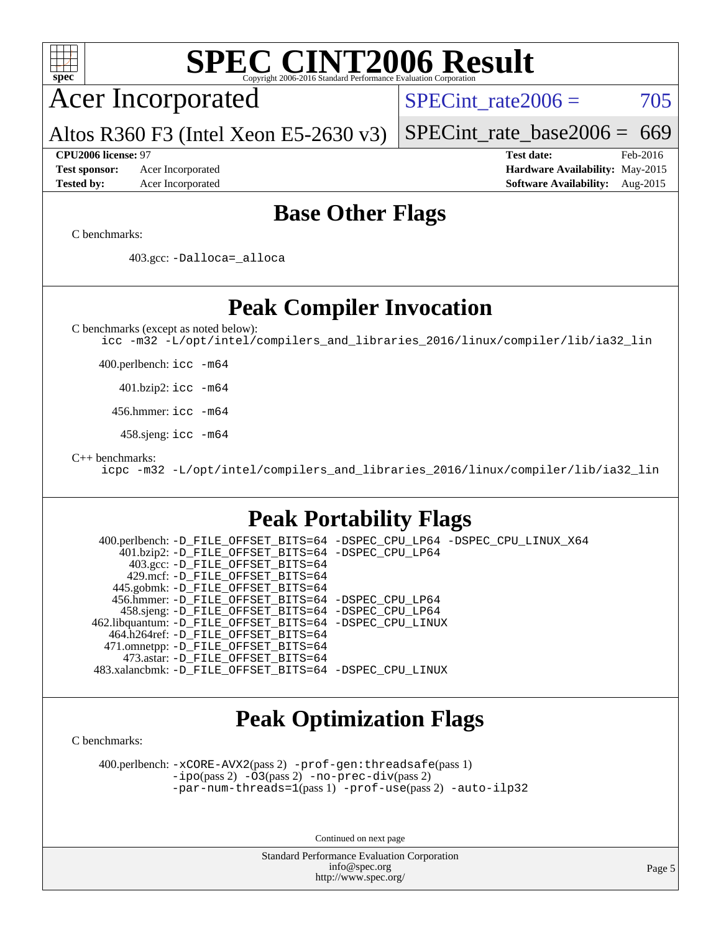

Continued on next page

Standard Performance Evaluation Corporation [info@spec.org](mailto:info@spec.org) <http://www.spec.org/>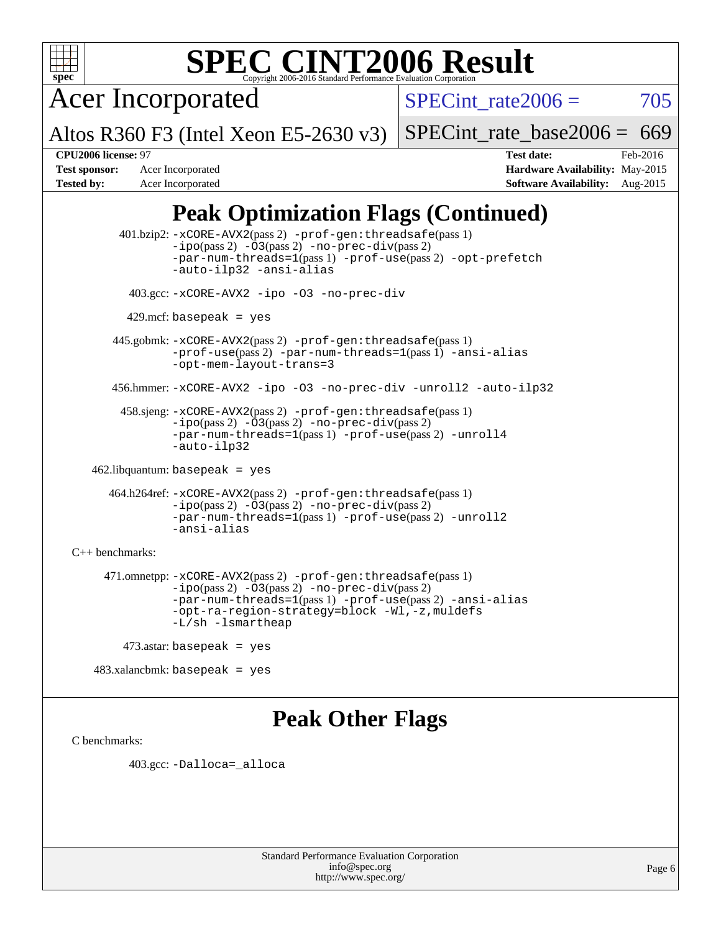

Acer Incorporated

Altos R360 F3 (Intel Xeon E5-2630 v3)

SPECint rate $2006 = 705$ 

[SPECint\\_rate\\_base2006 =](http://www.spec.org/auto/cpu2006/Docs/result-fields.html#SPECintratebase2006)  $669$ 

**[CPU2006 license:](http://www.spec.org/auto/cpu2006/Docs/result-fields.html#CPU2006license)** 97 **[Test date:](http://www.spec.org/auto/cpu2006/Docs/result-fields.html#Testdate)** Feb-2016 **[Test sponsor:](http://www.spec.org/auto/cpu2006/Docs/result-fields.html#Testsponsor)** Acer Incorporated **[Hardware Availability:](http://www.spec.org/auto/cpu2006/Docs/result-fields.html#HardwareAvailability)** May-2015 **[Tested by:](http://www.spec.org/auto/cpu2006/Docs/result-fields.html#Testedby)** Acer Incorporated **[Software Availability:](http://www.spec.org/auto/cpu2006/Docs/result-fields.html#SoftwareAvailability)** Aug-2015

## **[Peak Optimization Flags \(Continued\)](http://www.spec.org/auto/cpu2006/Docs/result-fields.html#PeakOptimizationFlags)**

 401.bzip2: [-xCORE-AVX2](http://www.spec.org/cpu2006/results/res2016q1/cpu2006-20160216-39023.flags.html#user_peakPASS2_CFLAGSPASS2_LDCFLAGS401_bzip2_f-xAVX2_5f5fc0cbe2c9f62c816d3e45806c70d7)(pass 2) [-prof-gen:threadsafe](http://www.spec.org/cpu2006/results/res2016q1/cpu2006-20160216-39023.flags.html#user_peakPASS1_CFLAGSPASS1_LDCFLAGS401_bzip2_prof_gen_21a26eb79f378b550acd7bec9fe4467a)(pass 1)  $-i\text{po}(pass 2) -03(pass 2) -no-prec-div(pass 2)$  $-i\text{po}(pass 2) -03(pass 2) -no-prec-div(pass 2)$  $-i\text{po}(pass 2) -03(pass 2) -no-prec-div(pass 2)$ [-par-num-threads=1](http://www.spec.org/cpu2006/results/res2016q1/cpu2006-20160216-39023.flags.html#user_peakPASS1_CFLAGSPASS1_LDCFLAGS401_bzip2_par_num_threads_786a6ff141b4e9e90432e998842df6c2)(pass 1) [-prof-use](http://www.spec.org/cpu2006/results/res2016q1/cpu2006-20160216-39023.flags.html#user_peakPASS2_CFLAGSPASS2_LDCFLAGS401_bzip2_prof_use_bccf7792157ff70d64e32fe3e1250b55)(pass 2) [-opt-prefetch](http://www.spec.org/cpu2006/results/res2016q1/cpu2006-20160216-39023.flags.html#user_peakCOPTIMIZE401_bzip2_f-opt-prefetch) [-auto-ilp32](http://www.spec.org/cpu2006/results/res2016q1/cpu2006-20160216-39023.flags.html#user_peakCOPTIMIZE401_bzip2_f-auto-ilp32) [-ansi-alias](http://www.spec.org/cpu2006/results/res2016q1/cpu2006-20160216-39023.flags.html#user_peakCOPTIMIZE401_bzip2_f-ansi-alias) 403.gcc: [-xCORE-AVX2](http://www.spec.org/cpu2006/results/res2016q1/cpu2006-20160216-39023.flags.html#user_peakCOPTIMIZE403_gcc_f-xAVX2_5f5fc0cbe2c9f62c816d3e45806c70d7) [-ipo](http://www.spec.org/cpu2006/results/res2016q1/cpu2006-20160216-39023.flags.html#user_peakCOPTIMIZE403_gcc_f-ipo) [-O3](http://www.spec.org/cpu2006/results/res2016q1/cpu2006-20160216-39023.flags.html#user_peakCOPTIMIZE403_gcc_f-O3) [-no-prec-div](http://www.spec.org/cpu2006/results/res2016q1/cpu2006-20160216-39023.flags.html#user_peakCOPTIMIZE403_gcc_f-no-prec-div)  $429$ .mcf: basepeak = yes 445.gobmk: [-xCORE-AVX2](http://www.spec.org/cpu2006/results/res2016q1/cpu2006-20160216-39023.flags.html#user_peakPASS2_CFLAGSPASS2_LDCFLAGS445_gobmk_f-xAVX2_5f5fc0cbe2c9f62c816d3e45806c70d7)(pass 2) [-prof-gen:threadsafe](http://www.spec.org/cpu2006/results/res2016q1/cpu2006-20160216-39023.flags.html#user_peakPASS1_CFLAGSPASS1_LDCFLAGS445_gobmk_prof_gen_21a26eb79f378b550acd7bec9fe4467a)(pass 1) [-prof-use](http://www.spec.org/cpu2006/results/res2016q1/cpu2006-20160216-39023.flags.html#user_peakPASS2_CFLAGSPASS2_LDCFLAGS445_gobmk_prof_use_bccf7792157ff70d64e32fe3e1250b55)(pass 2) [-par-num-threads=1](http://www.spec.org/cpu2006/results/res2016q1/cpu2006-20160216-39023.flags.html#user_peakPASS1_CFLAGSPASS1_LDCFLAGS445_gobmk_par_num_threads_786a6ff141b4e9e90432e998842df6c2)(pass 1) [-ansi-alias](http://www.spec.org/cpu2006/results/res2016q1/cpu2006-20160216-39023.flags.html#user_peakCOPTIMIZE445_gobmk_f-ansi-alias) [-opt-mem-layout-trans=3](http://www.spec.org/cpu2006/results/res2016q1/cpu2006-20160216-39023.flags.html#user_peakCOPTIMIZE445_gobmk_f-opt-mem-layout-trans_a7b82ad4bd7abf52556d4961a2ae94d5) 456.hmmer: [-xCORE-AVX2](http://www.spec.org/cpu2006/results/res2016q1/cpu2006-20160216-39023.flags.html#user_peakCOPTIMIZE456_hmmer_f-xAVX2_5f5fc0cbe2c9f62c816d3e45806c70d7) [-ipo](http://www.spec.org/cpu2006/results/res2016q1/cpu2006-20160216-39023.flags.html#user_peakCOPTIMIZE456_hmmer_f-ipo) [-O3](http://www.spec.org/cpu2006/results/res2016q1/cpu2006-20160216-39023.flags.html#user_peakCOPTIMIZE456_hmmer_f-O3) [-no-prec-div](http://www.spec.org/cpu2006/results/res2016q1/cpu2006-20160216-39023.flags.html#user_peakCOPTIMIZE456_hmmer_f-no-prec-div) [-unroll2](http://www.spec.org/cpu2006/results/res2016q1/cpu2006-20160216-39023.flags.html#user_peakCOPTIMIZE456_hmmer_f-unroll_784dae83bebfb236979b41d2422d7ec2) [-auto-ilp32](http://www.spec.org/cpu2006/results/res2016q1/cpu2006-20160216-39023.flags.html#user_peakCOPTIMIZE456_hmmer_f-auto-ilp32) 458.sjeng: [-xCORE-AVX2](http://www.spec.org/cpu2006/results/res2016q1/cpu2006-20160216-39023.flags.html#user_peakPASS2_CFLAGSPASS2_LDCFLAGS458_sjeng_f-xAVX2_5f5fc0cbe2c9f62c816d3e45806c70d7)(pass 2) [-prof-gen:threadsafe](http://www.spec.org/cpu2006/results/res2016q1/cpu2006-20160216-39023.flags.html#user_peakPASS1_CFLAGSPASS1_LDCFLAGS458_sjeng_prof_gen_21a26eb79f378b550acd7bec9fe4467a)(pass 1) [-ipo](http://www.spec.org/cpu2006/results/res2016q1/cpu2006-20160216-39023.flags.html#user_peakPASS2_CFLAGSPASS2_LDCFLAGS458_sjeng_f-ipo)(pass 2) [-O3](http://www.spec.org/cpu2006/results/res2016q1/cpu2006-20160216-39023.flags.html#user_peakPASS2_CFLAGSPASS2_LDCFLAGS458_sjeng_f-O3)(pass 2) [-no-prec-div](http://www.spec.org/cpu2006/results/res2016q1/cpu2006-20160216-39023.flags.html#user_peakPASS2_CFLAGSPASS2_LDCFLAGS458_sjeng_f-no-prec-div)(pass 2) [-par-num-threads=1](http://www.spec.org/cpu2006/results/res2016q1/cpu2006-20160216-39023.flags.html#user_peakPASS1_CFLAGSPASS1_LDCFLAGS458_sjeng_par_num_threads_786a6ff141b4e9e90432e998842df6c2)(pass 1) [-prof-use](http://www.spec.org/cpu2006/results/res2016q1/cpu2006-20160216-39023.flags.html#user_peakPASS2_CFLAGSPASS2_LDCFLAGS458_sjeng_prof_use_bccf7792157ff70d64e32fe3e1250b55)(pass 2) [-unroll4](http://www.spec.org/cpu2006/results/res2016q1/cpu2006-20160216-39023.flags.html#user_peakCOPTIMIZE458_sjeng_f-unroll_4e5e4ed65b7fd20bdcd365bec371b81f) [-auto-ilp32](http://www.spec.org/cpu2006/results/res2016q1/cpu2006-20160216-39023.flags.html#user_peakCOPTIMIZE458_sjeng_f-auto-ilp32) 462.libquantum: basepeak = yes 464.h264ref: [-xCORE-AVX2](http://www.spec.org/cpu2006/results/res2016q1/cpu2006-20160216-39023.flags.html#user_peakPASS2_CFLAGSPASS2_LDCFLAGS464_h264ref_f-xAVX2_5f5fc0cbe2c9f62c816d3e45806c70d7)(pass 2) [-prof-gen:threadsafe](http://www.spec.org/cpu2006/results/res2016q1/cpu2006-20160216-39023.flags.html#user_peakPASS1_CFLAGSPASS1_LDCFLAGS464_h264ref_prof_gen_21a26eb79f378b550acd7bec9fe4467a)(pass 1) [-ipo](http://www.spec.org/cpu2006/results/res2016q1/cpu2006-20160216-39023.flags.html#user_peakPASS2_CFLAGSPASS2_LDCFLAGS464_h264ref_f-ipo)(pass 2) [-O3](http://www.spec.org/cpu2006/results/res2016q1/cpu2006-20160216-39023.flags.html#user_peakPASS2_CFLAGSPASS2_LDCFLAGS464_h264ref_f-O3)(pass 2) [-no-prec-div](http://www.spec.org/cpu2006/results/res2016q1/cpu2006-20160216-39023.flags.html#user_peakPASS2_CFLAGSPASS2_LDCFLAGS464_h264ref_f-no-prec-div)(pass 2) [-par-num-threads=1](http://www.spec.org/cpu2006/results/res2016q1/cpu2006-20160216-39023.flags.html#user_peakPASS1_CFLAGSPASS1_LDCFLAGS464_h264ref_par_num_threads_786a6ff141b4e9e90432e998842df6c2)(pass 1) [-prof-use](http://www.spec.org/cpu2006/results/res2016q1/cpu2006-20160216-39023.flags.html#user_peakPASS2_CFLAGSPASS2_LDCFLAGS464_h264ref_prof_use_bccf7792157ff70d64e32fe3e1250b55)(pass 2) [-unroll2](http://www.spec.org/cpu2006/results/res2016q1/cpu2006-20160216-39023.flags.html#user_peakCOPTIMIZE464_h264ref_f-unroll_784dae83bebfb236979b41d2422d7ec2) [-ansi-alias](http://www.spec.org/cpu2006/results/res2016q1/cpu2006-20160216-39023.flags.html#user_peakCOPTIMIZE464_h264ref_f-ansi-alias) [C++ benchmarks:](http://www.spec.org/auto/cpu2006/Docs/result-fields.html#CXXbenchmarks) 471.omnetpp: [-xCORE-AVX2](http://www.spec.org/cpu2006/results/res2016q1/cpu2006-20160216-39023.flags.html#user_peakPASS2_CXXFLAGSPASS2_LDCXXFLAGS471_omnetpp_f-xAVX2_5f5fc0cbe2c9f62c816d3e45806c70d7)(pass 2) [-prof-gen:threadsafe](http://www.spec.org/cpu2006/results/res2016q1/cpu2006-20160216-39023.flags.html#user_peakPASS1_CXXFLAGSPASS1_LDCXXFLAGS471_omnetpp_prof_gen_21a26eb79f378b550acd7bec9fe4467a)(pass 1)  $-ipo(pass 2) -\overline{03(pass 2)}$  $-ipo(pass 2) -\overline{03(pass 2)}$  [-no-prec-div](http://www.spec.org/cpu2006/results/res2016q1/cpu2006-20160216-39023.flags.html#user_peakPASS2_CXXFLAGSPASS2_LDCXXFLAGS471_omnetpp_f-no-prec-div)(pass 2) [-par-num-threads=1](http://www.spec.org/cpu2006/results/res2016q1/cpu2006-20160216-39023.flags.html#user_peakPASS1_CXXFLAGSPASS1_LDCXXFLAGS471_omnetpp_par_num_threads_786a6ff141b4e9e90432e998842df6c2)(pass 1) [-prof-use](http://www.spec.org/cpu2006/results/res2016q1/cpu2006-20160216-39023.flags.html#user_peakPASS2_CXXFLAGSPASS2_LDCXXFLAGS471_omnetpp_prof_use_bccf7792157ff70d64e32fe3e1250b55)(pass 2) [-ansi-alias](http://www.spec.org/cpu2006/results/res2016q1/cpu2006-20160216-39023.flags.html#user_peakCXXOPTIMIZE471_omnetpp_f-ansi-alias) [-opt-ra-region-strategy=block](http://www.spec.org/cpu2006/results/res2016q1/cpu2006-20160216-39023.flags.html#user_peakCXXOPTIMIZE471_omnetpp_f-opt-ra-region-strategy_a0a37c372d03933b2a18d4af463c1f69) [-Wl,-z,muldefs](http://www.spec.org/cpu2006/results/res2016q1/cpu2006-20160216-39023.flags.html#user_peakEXTRA_LDFLAGS471_omnetpp_link_force_multiple1_74079c344b956b9658436fd1b6dd3a8a) [-L/sh -lsmartheap](http://www.spec.org/cpu2006/results/res2016q1/cpu2006-20160216-39023.flags.html#user_peakEXTRA_LIBS471_omnetpp_SmartHeap_32f6c82aa1ed9c52345d30cf6e4a0499) 473.astar: basepeak = yes

483.xalancbmk: basepeak = yes

## **[Peak Other Flags](http://www.spec.org/auto/cpu2006/Docs/result-fields.html#PeakOtherFlags)**

[C benchmarks](http://www.spec.org/auto/cpu2006/Docs/result-fields.html#Cbenchmarks):

403.gcc: [-Dalloca=\\_alloca](http://www.spec.org/cpu2006/results/res2016q1/cpu2006-20160216-39023.flags.html#b403.gcc_peakEXTRA_CFLAGS_Dalloca_be3056838c12de2578596ca5467af7f3)